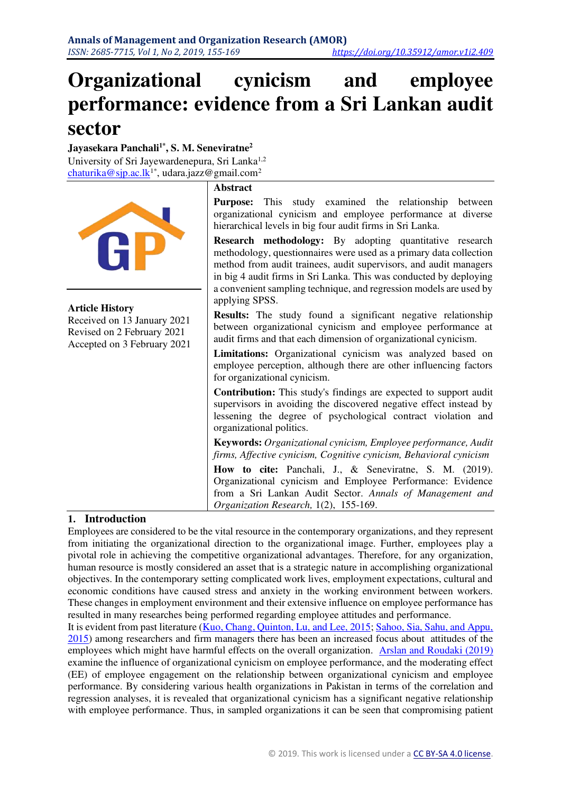# **Organizational cynicism and employee performance: evidence from a Sri Lankan audit sector**

**Jayasekara Panchali1\* , S. M. Seneviratne<sup>2</sup>** University of Sri Jayewardenepura, Sri Lanka<sup>1,2</sup> <u>[chaturika@sjp.ac.lk](mailto:chaturika@sjp.ac.lk)</u><sup>1\*</sup>, udara.jazz@gmail.com<sup>2</sup>



# **1. Introduction**

Employees are considered to be the vital resource in the contemporary organizations, and they represent from initiating the organizational direction to the organizational image. Further, employees play a pivotal role in achieving the competitive organizational advantages. Therefore, for any organization, human resource is mostly considered an asset that is a strategic nature in accomplishing organizational objectives. In the contemporary setting complicated work lives, employment expectations, cultural and economic conditions have caused stress and anxiety in the working environment between workers. These changes in employment environment and their extensive influence on employee performance has resulted in many researches being performed regarding employee attitudes and performance.

It is evident from past literature [\(Kuo, Chang, Quinton, Lu, and Lee, 2015;](#page-14-0) [Sahoo, Sia, Sahu, and Appu,](#page-14-1)  [2015\)](#page-14-1) among researchers and firm managers there has been an increased focus about attitudes of the employees which might have harmful effects on the overall organization. [Arslan and Roudaki \(2019\)](#page-13-0) examine the influence of organizational cynicism on employee performance, and the moderating effect (EE) of employee engagement on the relationship between organizational cynicism and employee performance. By considering various health organizations in Pakistan in terms of the correlation and regression analyses, it is revealed that organizational cynicism has a significant negative relationship with employee performance. Thus, in sampled organizations it can be seen that compromising patient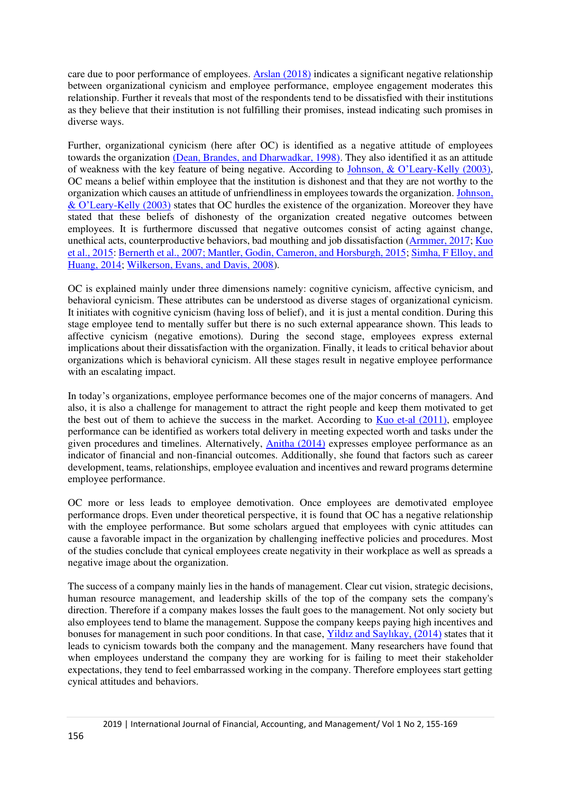care due to poor performance of employees[. Arslan \(2018\)](#page-13-1) indicates a significant negative relationship between organizational cynicism and employee performance, employee engagement moderates this relationship. Further it reveals that most of the respondents tend to be dissatisfied with their institutions as they believe that their institution is not fulfilling their promises, instead indicating such promises in diverse ways.

Further, organizational cynicism (here after OC) is identified as a negative attitude of employees towards the organization [\(Dean, Brandes, and Dharwadkar, 1998\).](#page-13-2) They also identified it as an attitude of weakness with the key feature of being negative. According to [Johnson, & O'Leary](#page-14-2)-Kelly (2003), OC means a belief within employee that the institution is dishonest and that they are not worthy to the organization which causes an attitude of unfriendliness in employees towards the organization[. Johnson,](#page-14-2)  & O'Leary[-Kelly \(2003\)](#page-14-2) states that OC hurdles the existence of the organization. Moreover they have stated that these beliefs of dishonesty of the organization created negative outcomes between employees. It is furthermore discussed that negative outcomes consist of acting against change, unethical acts, counterproductive behaviors, bad mouthing and job dissatisfaction [\(Armmer, 2017;](#page-13-3) [Kuo](#page-14-0)  [et al., 2015:](#page-14-0) [Bernerth et al., 2007](#page-13-4)[; Mantler, Godin, Cameron, and Horsburgh, 2015;](#page-14-3) [Simha, F Elloy, and](#page-14-4)  [Huang, 2014;](#page-14-4) [Wilkerson, Evans, and Davis, 2008\)](#page-14-5).

OC is explained mainly under three dimensions namely: cognitive cynicism, affective cynicism, and behavioral cynicism. These attributes can be understood as diverse stages of organizational cynicism. It initiates with cognitive cynicism (having loss of belief), and it is just a mental condition. During this stage employee tend to mentally suffer but there is no such external appearance shown. This leads to affective cynicism (negative emotions). During the second stage, employees express external implications about their dissatisfaction with the organization. Finally, it leads to critical behavior about organizations which is behavioral cynicism. All these stages result in negative employee performance with an escalating impact.

In today's organizations, employee performance becomes one of the major concerns of managers. And also, it is also a challenge for management to attract the right people and keep them motivated to get the best out of them to achieve the success in the market. According to [Kuo et-al \(2011\),](#page-14-0) employee performance can be identified as workers total delivery in meeting expected worth and tasks under the given procedures and timelines. Alternatively, [Anitha \(2014\)](#page-13-5) expresses employee performance as an indicator of financial and non-financial outcomes. Additionally, she found that factors such as career development, teams, relationships, employee evaluation and incentives and reward programs determine employee performance.

OC more or less leads to employee demotivation. Once employees are demotivated employee performance drops. Even under theoretical perspective, it is found that OC has a negative relationship with the employee performance. But some scholars argued that employees with cynic attitudes can cause a favorable impact in the organization by challenging ineffective policies and procedures. Most of the studies conclude that cynical employees create negativity in their workplace as well as spreads a negative image about the organization.

The success of a company mainly lies in the hands of management. Clear cut vision, strategic decisions, human resource management, and leadership skills of the top of the company sets the company's direction. Therefore if a company makes losses the fault goes to the management. Not only society but also employees tend to blame the management. Suppose the company keeps paying high incentives and bonuses for management in such poor conditions. In that case, Yi[ldız and Saylıkay, \(2014\)](#page-14-6) states that it leads to cynicism towards both the company and the management. Many researchers have found that when employees understand the company they are working for is failing to meet their stakeholder expectations, they tend to feel embarrassed working in the company. Therefore employees start getting cynical attitudes and behaviors.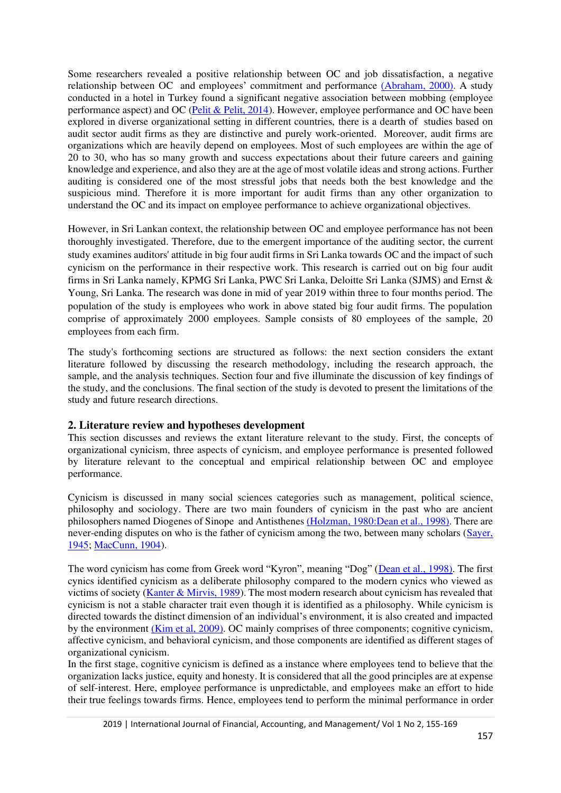Some researchers revealed a positive relationship between OC and job dissatisfaction, a negative relationship between OC and employees' commitment and performance [\(Abraham, 2000\).](#page-13-6) A study conducted in a hotel in Turkey found a significant negative association between mobbing (employee performance aspect) and OC [\(Pelit & Pelit, 2014\)](#page-14-7). However, employee performance and OC have been explored in diverse organizational setting in different countries, there is a dearth of studies based on audit sector audit firms as they are distinctive and purely work-oriented. Moreover, audit firms are organizations which are heavily depend on employees. Most of such employees are within the age of 20 to 30, who has so many growth and success expectations about their future careers and gaining knowledge and experience, and also they are at the age of most volatile ideas and strong actions. Further auditing is considered one of the most stressful jobs that needs both the best knowledge and the suspicious mind. Therefore it is more important for audit firms than any other organization to understand the OC and its impact on employee performance to achieve organizational objectives.

However, in Sri Lankan context, the relationship between OC and employee performance has not been thoroughly investigated. Therefore, due to the emergent importance of the auditing sector, the current study examines auditors' attitude in big four audit firms in Sri Lanka towards OC and the impact of such cynicism on the performance in their respective work. This research is carried out on big four audit firms in Sri Lanka namely, KPMG Sri Lanka, PWC Sri Lanka, Deloitte Sri Lanka (SJMS) and Ernst & Young, Sri Lanka. The research was done in mid of year 2019 within three to four months period. The population of the study is employees who work in above stated big four audit firms. The population comprise of approximately 2000 employees. Sample consists of 80 employees of the sample, 20 employees from each firm.

The study's forthcoming sections are structured as follows: the next section considers the extant literature followed by discussing the research methodology, including the research approach, the sample, and the analysis techniques. Section four and five illuminate the discussion of key findings of the study, and the conclusions. The final section of the study is devoted to present the limitations of the study and future research directions.

## **2. Literature review and hypotheses development**

This section discusses and reviews the extant literature relevant to the study. First, the concepts of organizational cynicism, three aspects of cynicism, and employee performance is presented followed by literature relevant to the conceptual and empirical relationship between OC and employee performance.

Cynicism is discussed in many social sciences categories such as management, political science, philosophy and sociology. There are two main founders of cynicism in the past who are ancient philosophers named Diogenes of Sinope and Antisthene[s \(Holzman, 1980:Dean et al., 1998\).](#page-14-8) There are never-ending disputes on who is the father of cynicism among the two, between many scholars (Sayer, [1945;](#page-14-9) [MacCunn, 1904\)](#page-14-10).

The word cynicism has come from Greek word "Kyron", meaning "Dog" ([Dean et al., 1998\).](#page-13-2) The first cynics identified cynicism as a deliberate philosophy compared to the modern cynics who viewed as victims of society [\(Kanter & Mirvis, 1989\)](#page-14-11). The most modern research about cynicism has revealed that cynicism is not a stable character trait even though it is identified as a philosophy. While cynicism is directed towards the distinct dimension of an individual's environment, it is also created and impacted by the environment [\(Kim et al, 2009\).](#page-14-12) OC mainly comprises of three components; cognitive cynicism, affective cynicism, and behavioral cynicism, and those components are identified as different stages of organizational cynicism.

In the first stage, cognitive cynicism is defined as a instance where employees tend to believe that the organization lacks justice, equity and honesty. It is considered that all the good principles are at expense of self-interest. Here, employee performance is unpredictable, and employees make an effort to hide their true feelings towards firms. Hence, employees tend to perform the minimal performance in order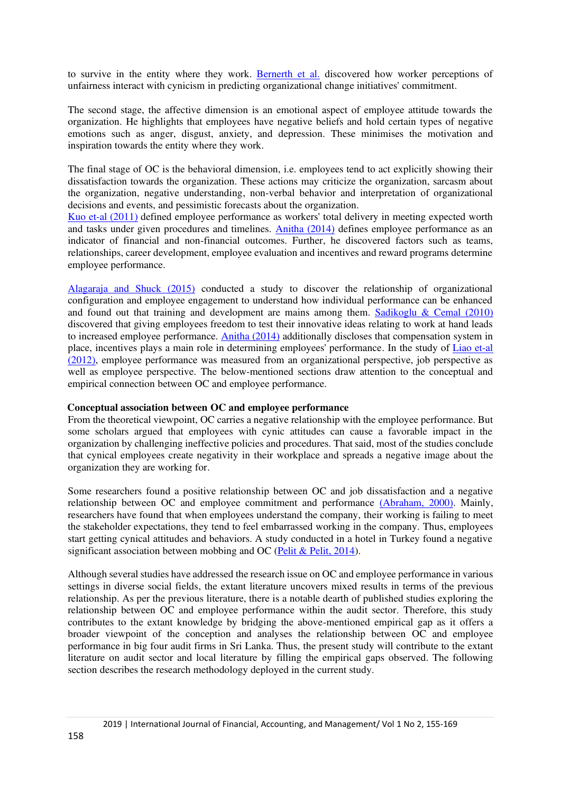to survive in the entity where they work. [Bernerth et al.](#page-13-4) discovered how worker perceptions of unfairness interact with cynicism in predicting organizational change initiatives' commitment.

The second stage, the affective dimension is an emotional aspect of employee attitude towards the organization. He highlights that employees have negative beliefs and hold certain types of negative emotions such as anger, disgust, anxiety, and depression. These minimises the motivation and inspiration towards the entity where they work.

The final stage of OC is the behavioral dimension, i.e. employees tend to act explicitly showing their dissatisfaction towards the organization. These actions may criticize the organization, sarcasm about the organization, negative understanding, non-verbal behavior and interpretation of organizational decisions and events, and pessimistic forecasts about the organization.

[Kuo et-al \(2011\)](#page-14-0) defined employee performance as workers' total delivery in meeting expected worth and tasks under given procedures and timelines. [Anitha \(2014\)](#page-13-5) defines employee performance as an indicator of financial and non-financial outcomes. Further, he discovered factors such as teams, relationships, career development, employee evaluation and incentives and reward programs determine employee performance.

[Alagaraja and Shuck \(2015\)](#page-13-7) conducted a study to discover the relationship of organizational configuration and employee engagement to understand how individual performance can be enhanced and found out that training and development are mains among them. [Sadikoglu & Cemal \(2010\)](#page-14-13) discovered that giving employees freedom to test their innovative ideas relating to work at hand leads to increased employee performance. [Anitha \(2014\)](#page-13-5) additionally discloses that compensation system in place, incentives plays a main role in determining employees' performance. In the study of [Liao et-al](#page-13-8)  [\(2012\),](#page-13-8) employee performance was measured from an organizational perspective, job perspective as well as employee perspective. The below-mentioned sections draw attention to the conceptual and empirical connection between OC and employee performance.

#### **Conceptual association between OC and employee performance**

From the theoretical viewpoint, OC carries a negative relationship with the employee performance. But some scholars argued that employees with cynic attitudes can cause a favorable impact in the organization by challenging ineffective policies and procedures. That said, most of the studies conclude that cynical employees create negativity in their workplace and spreads a negative image about the organization they are working for.

Some researchers found a positive relationship between OC and job dissatisfaction and a negative relationship between OC and employee commitment and performance [\(Abraham, 2000\).](#page-13-6) Mainly, researchers have found that when employees understand the company, their working is failing to meet the stakeholder expectations, they tend to feel embarrassed working in the company. Thus, employees start getting cynical attitudes and behaviors. A study conducted in a hotel in Turkey found a negative significant association between mobbing and OC [\(Pelit & Pelit, 2014\)](#page-14-7).

Although several studies have addressed the research issue on OC and employee performance in various settings in diverse social fields, the extant literature uncovers mixed results in terms of the previous relationship. As per the previous literature, there is a notable dearth of published studies exploring the relationship between OC and employee performance within the audit sector. Therefore, this study contributes to the extant knowledge by bridging the above-mentioned empirical gap as it offers a broader viewpoint of the conception and analyses the relationship between OC and employee performance in big four audit firms in Sri Lanka. Thus, the present study will contribute to the extant literature on audit sector and local literature by filling the empirical gaps observed. The following section describes the research methodology deployed in the current study.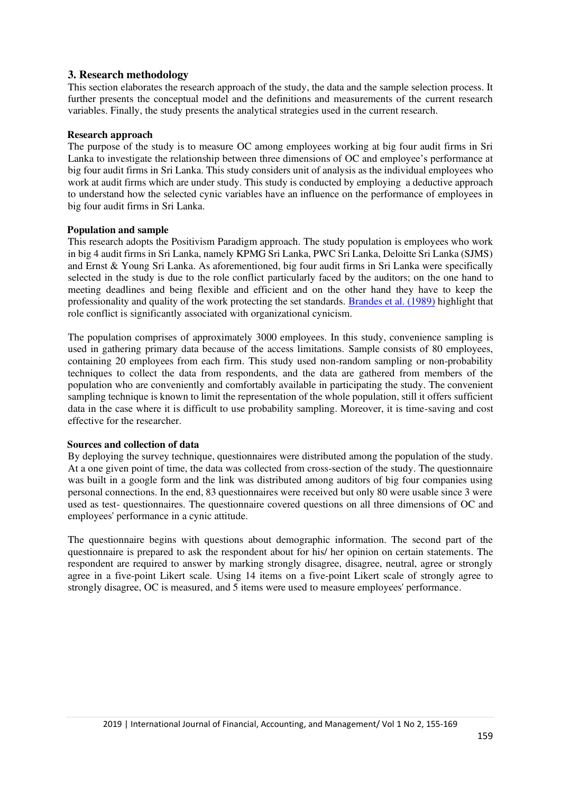## **3. Research methodology**

This section elaborates the research approach of the study, the data and the sample selection process. It further presents the conceptual model and the definitions and measurements of the current research variables. Finally, the study presents the analytical strategies used in the current research.

## **Research approach**

The purpose of the study is to measure OC among employees working at big four audit firms in Sri Lanka to investigate the relationship between three dimensions of OC and employee's performance at big four audit firms in Sri Lanka. This study considers unit of analysis as the individual employees who work at audit firms which are under study. This study is conducted by employing a deductive approach to understand how the selected cynic variables have an influence on the performance of employees in big four audit firms in Sri Lanka.

## **Population and sample**

This research adopts the Positivism Paradigm approach. The study population is employees who work in big 4 audit firms in Sri Lanka, namely KPMG Sri Lanka, PWC Sri Lanka, Deloitte Sri Lanka (SJMS) and Ernst & Young Sri Lanka. As aforementioned, big four audit firms in Sri Lanka were specifically selected in the study is due to the role conflict particularly faced by the auditors; on the one hand to meeting deadlines and being flexible and efficient and on the other hand they have to keep the professionality and quality of the work protecting the set standards. [Brandes et al. \(1989\)](#page-13-9) highlight that role conflict is significantly associated with organizational cynicism.

The population comprises of approximately 3000 employees. In this study, convenience sampling is used in gathering primary data because of the access limitations. Sample consists of 80 employees, containing 20 employees from each firm. This study used non-random sampling or non-probability techniques to collect the data from respondents, and the data are gathered from members of the population who are conveniently and comfortably available in participating the study. The convenient sampling technique is known to limit the representation of the whole population, still it offers sufficient data in the case where it is difficult to use probability sampling. Moreover, it is time-saving and cost effective for the researcher.

## **Sources and collection of data**

By deploying the survey technique, questionnaires were distributed among the population of the study. At a one given point of time, the data was collected from cross-section of the study. The questionnaire was built in a google form and the link was distributed among auditors of big four companies using personal connections. In the end, 83 questionnaires were received but only 80 were usable since 3 were used as test- questionnaires. The questionnaire covered questions on all three dimensions of OC and employees' performance in a cynic attitude.

The questionnaire begins with questions about demographic information. The second part of the questionnaire is prepared to ask the respondent about for his/ her opinion on certain statements. The respondent are required to answer by marking strongly disagree, disagree, neutral, agree or strongly agree in a five-point Likert scale. Using 14 items on a five-point Likert scale of strongly agree to strongly disagree, OC is measured, and 5 items were used to measure employees' performance.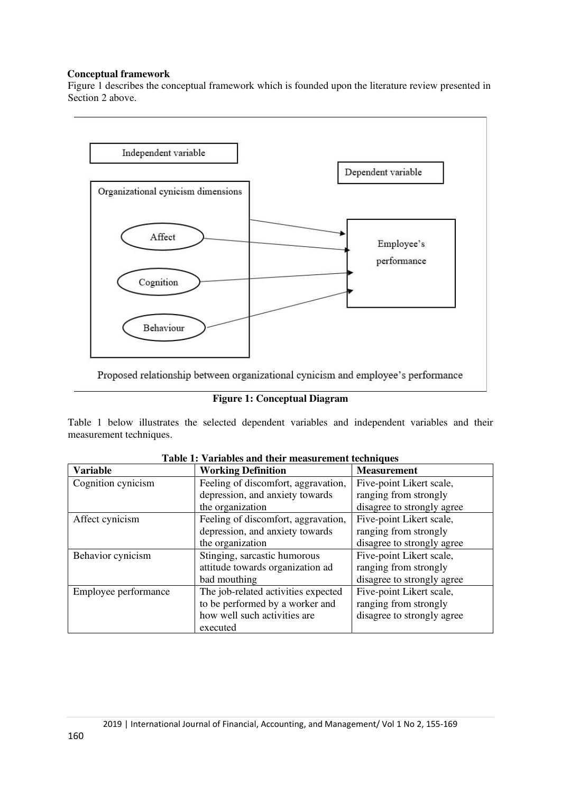## **Conceptual framework**

Figure 1 describes the conceptual framework which is founded upon the literature review presented in Section 2 above.



**Figure 1: Conceptual Diagram** 

Table 1 below illustrates the selected dependent variables and independent variables and their measurement techniques.

| <b>Variable</b>      | <b>Working Definition</b>           | <b>Measurement</b>         |
|----------------------|-------------------------------------|----------------------------|
| Cognition cynicism   | Feeling of discomfort, aggravation, | Five-point Likert scale,   |
|                      | depression, and anxiety towards     | ranging from strongly      |
|                      | the organization                    | disagree to strongly agree |
| Affect cynicism      | Feeling of discomfort, aggravation, | Five-point Likert scale,   |
|                      | depression, and anxiety towards     | ranging from strongly      |
|                      | the organization                    | disagree to strongly agree |
| Behavior cynicism    | Stinging, sarcastic humorous        | Five-point Likert scale,   |
|                      | attitude towards organization ad    | ranging from strongly      |
|                      | bad mouthing                        | disagree to strongly agree |
| Employee performance | The job-related activities expected | Five-point Likert scale,   |
|                      | to be performed by a worker and     | ranging from strongly      |
|                      | how well such activities are        | disagree to strongly agree |
|                      | executed                            |                            |

**Table 1: Variables and their measurement techniques**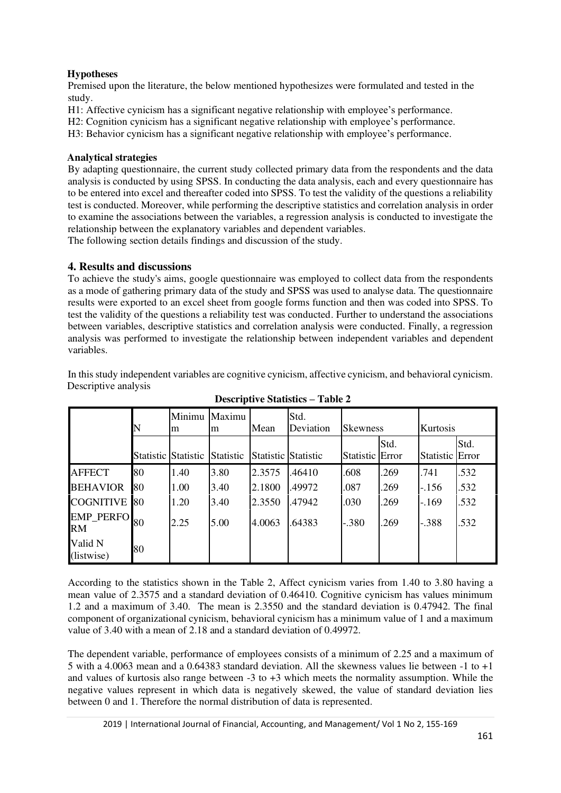# **Hypotheses**

Premised upon the literature, the below mentioned hypothesizes were formulated and tested in the study.

H1: Affective cynicism has a significant negative relationship with employee's performance.

H2: Cognition cynicism has a significant negative relationship with employee's performance.

H3: Behavior cynicism has a significant negative relationship with employee's performance.

## **Analytical strategies**

By adapting questionnaire, the current study collected primary data from the respondents and the data analysis is conducted by using SPSS. In conducting the data analysis, each and every questionnaire has to be entered into excel and thereafter coded into SPSS. To test the validity of the questions a reliability test is conducted. Moreover, while performing the descriptive statistics and correlation analysis in order to examine the associations between the variables, a regression analysis is conducted to investigate the relationship between the explanatory variables and dependent variables.

The following section details findings and discussion of the study.

## **4. Results and discussions**

To achieve the study's aims, google questionnaire was employed to collect data from the respondents as a mode of gathering primary data of the study and SPSS was used to analyse data. The questionnaire results were exported to an excel sheet from google forms function and then was coded into SPSS. To test the validity of the questions a reliability test was conducted. Further to understand the associations between variables, descriptive statistics and correlation analysis were conducted. Finally, a regression analysis was performed to investigate the relationship between independent variables and dependent variables.

In this study independent variables are cognitive cynicism, affective cynicism, and behavioral cynicism. Descriptive analysis

|                               |                     | Minimu<br>m | Maximu<br>m      | Mean                       | Std.<br>Deviation | <b>Skewness</b> |      | Kurtosis        |      |
|-------------------------------|---------------------|-------------|------------------|----------------------------|-------------------|-----------------|------|-----------------|------|
|                               | Statistic Statistic |             | <b>Statistic</b> | <b>Statistic Statistic</b> |                   | Statistic Error | Std. | Statistic Error | Std. |
| <b>AFFECT</b>                 | 80                  | 1.40        | 3.80             | 2.3575                     | .46410            | .608            | .269 | .741            | .532 |
| <b>BEHAVIOR</b>               | 80                  | 1.00        | 3.40             | 2.1800                     | .49972            | .087            | .269 | $-.156$         | .532 |
| <b>COGNITIVE</b>              | <b>80</b>           | 1.20        | 3.40             | 2.3550                     | .47942            | .030            | .269 | $-.169$         | .532 |
| <b>EMP_PERFO</b><br><b>RM</b> | 80                  | 2.25        | 5.00             | 4.0063                     | .64383            | $-.380$         | .269 | $-.388$         | .532 |
| Valid N<br>(listwise)         | 80                  |             |                  |                            |                   |                 |      |                 |      |

**Descriptive Statistics – Table 2** 

According to the statistics shown in the Table 2, Affect cynicism varies from 1.40 to 3.80 having a mean value of 2.3575 and a standard deviation of 0.46410. Cognitive cynicism has values minimum 1.2 and a maximum of 3.40. The mean is 2.3550 and the standard deviation is 0.47942. The final component of organizational cynicism, behavioral cynicism has a minimum value of 1 and a maximum value of 3.40 with a mean of 2.18 and a standard deviation of 0.49972.

The dependent variable, performance of employees consists of a minimum of 2.25 and a maximum of 5 with a 4.0063 mean and a 0.64383 standard deviation. All the skewness values lie between -1 to +1 and values of kurtosis also range between -3 to +3 which meets the normality assumption. While the negative values represent in which data is negatively skewed, the value of standard deviation lies between 0 and 1. Therefore the normal distribution of data is represented.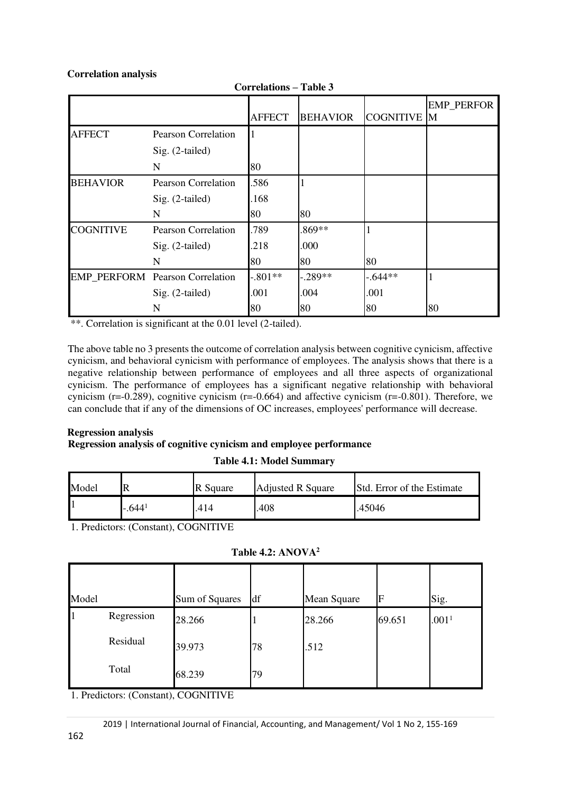## **Correlation analysis**

|                  |                                        | <b>AFFECT</b> | <b>BEHAVIOR</b> | <b>COGNITIVE M</b> | <b>EMP_PERFOR</b> |
|------------------|----------------------------------------|---------------|-----------------|--------------------|-------------------|
|                  |                                        |               |                 |                    |                   |
| <b>AFFECT</b>    | <b>Pearson Correlation</b>             |               |                 |                    |                   |
|                  | Sig. (2-tailed)                        |               |                 |                    |                   |
|                  | N                                      | 80            |                 |                    |                   |
| <b>BEHAVIOR</b>  | <b>Pearson Correlation</b>             | .586          |                 |                    |                   |
|                  | Sig. (2-tailed)                        | .168          |                 |                    |                   |
|                  | N                                      | 80            | 80              |                    |                   |
| <b>COGNITIVE</b> | <b>Pearson Correlation</b>             | .789          | .869**          |                    |                   |
|                  | Sig. (2-tailed)                        | .218          | .000            |                    |                   |
|                  | N                                      | 80            | 80              | 80                 |                   |
|                  | <b>EMP_PERFORM</b> Pearson Correlation | $-.801**$     | $-.289**$       | $-0.644**$         |                   |
|                  | Sig. (2-tailed)                        | .001          | .004            | .001               |                   |
|                  | N                                      | 80            | 80              | 80                 | 80                |

**Correlations – Table 3** 

\*\*. Correlation is significant at the 0.01 level (2-tailed).

The above table no 3 presents the outcome of correlation analysis between cognitive cynicism, affective cynicism, and behavioral cynicism with performance of employees. The analysis shows that there is a negative relationship between performance of employees and all three aspects of organizational cynicism. The performance of employees has a significant negative relationship with behavioral cynicism ( $r=0.289$ ), cognitive cynicism ( $r=0.664$ ) and affective cynicism ( $r=0.801$ ). Therefore, we can conclude that if any of the dimensions of OC increases, employees' performance will decrease.

# **Regression analysis**

## **Regression analysis of cognitive cynicism and employee performance**

## **Table 4.1: Model Summary**

| Model |         | R Square | <b>Adjusted R Square</b> | <b>Std.</b> Error of the Estimate |
|-------|---------|----------|--------------------------|-----------------------------------|
|       | $-6441$ | .414     | .408                     | .45046                            |

1. Predictors: (Constant), COGNITIVE

|  | Table 4.2: ANOVA <sup>2</sup> |
|--|-------------------------------|
|--|-------------------------------|

| Model |            | Sum of Squares | df | Mean Square | F      | Sig.              |
|-------|------------|----------------|----|-------------|--------|-------------------|
| 1     | Regression | 28.266         |    | 28.266      | 69.651 | .001 <sup>1</sup> |
|       | Residual   | 39.973         | 78 | .512        |        |                   |
|       | Total      | 68.239         | 79 |             |        |                   |

1. Predictors: (Constant), COGNITIVE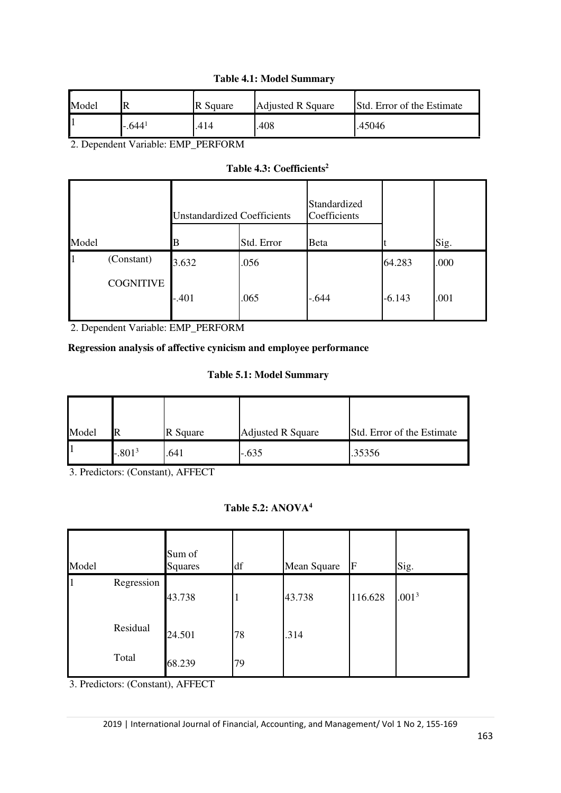# **Table 4.1: Model Summary**

| Model |         | R Square | <b>Adjusted R Square</b> | <b>Std.</b> Error of the Estimate |
|-------|---------|----------|--------------------------|-----------------------------------|
|       | $-6441$ | .414     | .408                     | .45046                            |

2. Dependent Variable: EMP\_PERFORM

# **Table 4.3: Coefficients<sup>2</sup>**

|       |                  | <b>Unstandardized Coefficients</b> |            | Standardized<br>Coefficients |          |      |
|-------|------------------|------------------------------------|------------|------------------------------|----------|------|
| Model |                  | R                                  | Std. Error | Beta                         |          | Sig. |
|       | (Constant)       | 3.632                              | .056       |                              | 64.283   | .000 |
|       | <b>COGNITIVE</b> | $-.401$                            | .065       | $-644$                       | $-6.143$ | .001 |

2. Dependent Variable: EMP\_PERFORM

# **Regression analysis of affective cynicism and employee performance**

## **Table 5.1: Model Summary**

| Model | IR       | R Square | <b>Adjusted R Square</b> | Std. Error of the Estimate |
|-------|----------|----------|--------------------------|----------------------------|
|       | $-.8013$ | .641     | $-.635$                  | .35356                     |

3. Predictors: (Constant), AFFECT

# **Table 5.2: ANOVA<sup>4</sup>**

| Model |            | Sum of<br><b>Squares</b> | df | Mean Square | lf      | Sig.              |
|-------|------------|--------------------------|----|-------------|---------|-------------------|
| 1     | Regression |                          |    |             |         |                   |
|       |            | 43.738                   |    | 43.738      | 116.628 | .001 <sup>3</sup> |
|       | Residual   | 24.501                   | 78 | .314        |         |                   |
|       | Total      | 68.239                   | 79 |             |         |                   |

3. Predictors: (Constant), AFFECT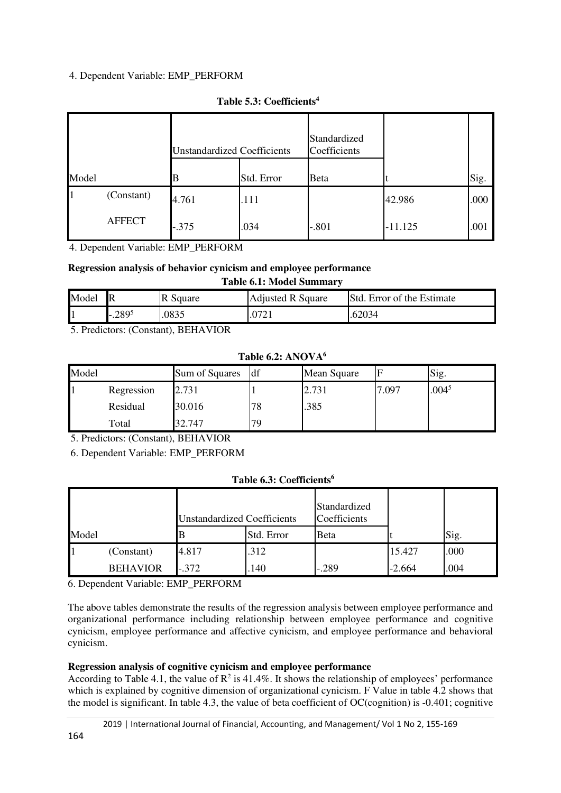## 4. Dependent Variable: EMP\_PERFORM

|       |               | <b>Unstandardized Coefficients</b> |            | Standardized<br>Coefficients |           |      |
|-------|---------------|------------------------------------|------------|------------------------------|-----------|------|
| Model |               | R                                  | Std. Error | Beta                         |           | Sig. |
|       | (Constant)    | 4.761                              | .111       |                              | 42.986    | .000 |
|       | <b>AFFECT</b> | $-.375$                            | .034       | $-.801$                      | $-11.125$ | .001 |

## **Table 5.3: Coefficients<sup>4</sup>**

4. Dependent Variable: EMP\_PERFORM

## **Regression analysis of behavior cynicism and employee performance**

| <b>Table 6.1: Model Summary</b> |           |          |                          |                                   |  |  |  |
|---------------------------------|-----------|----------|--------------------------|-----------------------------------|--|--|--|
| Model                           |           | R Square | <b>Adjusted R Square</b> | <b>Std.</b> Error of the Estimate |  |  |  |
|                                 | $-0.2895$ | .0835    |                          | .62034                            |  |  |  |

5. Predictors: (Constant), BEHAVIOR

**Table 6.2: ANOVA<sup>6</sup>**

| Model |            | Sum of Squares | <b>df</b> | Mean Square |                 | Sig.              |
|-------|------------|----------------|-----------|-------------|-----------------|-------------------|
|       | Regression | 2.731          |           | 2.731       | $^{\prime}.097$ | .004 <sup>5</sup> |
|       | Residual   | 30.016         | 78        | .385        |                 |                   |
|       | Total      | 32.747         | 79        |             |                 |                   |

5. Predictors: (Constant), BEHAVIOR

6. Dependent Variable: EMP\_PERFORM

# **Table 6.3: Coefficients<sup>6</sup>**

|       |                 | <b>Unstandardized Coefficients</b> |            | Standardized<br>Coefficients |          |      |
|-------|-----------------|------------------------------------|------------|------------------------------|----------|------|
| Model |                 |                                    | Std. Error | <b>B</b> eta                 |          | Sig. |
|       | (Constant)      | 4.817                              | .312       |                              | 15.427   | .000 |
|       | <b>BEHAVIOR</b> | $-.372$                            | 140        | $-.289$                      | $-2.664$ | .004 |

6. Dependent Variable: EMP\_PERFORM

The above tables demonstrate the results of the regression analysis between employee performance and organizational performance including relationship between employee performance and cognitive cynicism, employee performance and affective cynicism, and employee performance and behavioral cynicism.

# **Regression analysis of cognitive cynicism and employee performance**

According to Table 4.1, the value of  $\mathbb{R}^2$  is 41.4%. It shows the relationship of employees' performance which is explained by cognitive dimension of organizational cynicism. F Value in table 4.2 shows that the model is significant. In table 4.3, the value of beta coefficient of OC(cognition) is -0.401; cognitive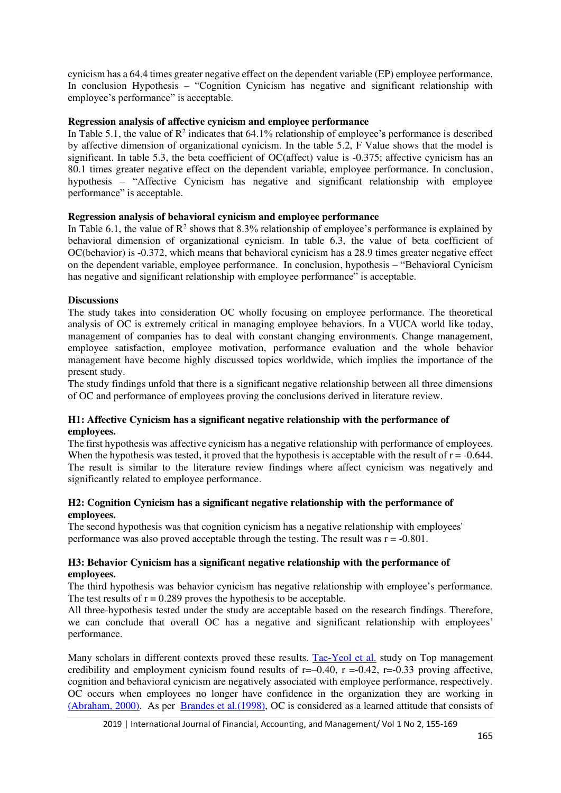cynicism has a 64.4 times greater negative effect on the dependent variable (EP) employee performance. In conclusion Hypothesis – "Cognition Cynicism has negative and significant relationship with employee's performance" is acceptable.

## **Regression analysis of affective cynicism and employee performance**

In Table 5.1, the value of  $\mathbb{R}^2$  indicates that 64.1% relationship of employee's performance is described by affective dimension of organizational cynicism. In the table 5.2, F Value shows that the model is significant. In table 5.3, the beta coefficient of OC(affect) value is -0.375; affective cynicism has an 80.1 times greater negative effect on the dependent variable, employee performance. In conclusion, hypothesis – "Affective Cynicism has negative and significant relationship with employee performance" is acceptable.

## **Regression analysis of behavioral cynicism and employee performance**

In Table 6.1, the value of  $\mathbb{R}^2$  shows that 8.3% relationship of employee's performance is explained by behavioral dimension of organizational cynicism. In table 6.3, the value of beta coefficient of OC(behavior) is -0.372, which means that behavioral cynicism has a 28.9 times greater negative effect on the dependent variable, employee performance. In conclusion, hypothesis – "Behavioral Cynicism has negative and significant relationship with employee performance" is acceptable.

## **Discussions**

The study takes into consideration OC wholly focusing on employee performance. The theoretical analysis of OC is extremely critical in managing employee behaviors. In a VUCA world like today, management of companies has to deal with constant changing environments. Change management, employee satisfaction, employee motivation, performance evaluation and the whole behavior management have become highly discussed topics worldwide, which implies the importance of the present study.

The study findings unfold that there is a significant negative relationship between all three dimensions of OC and performance of employees proving the conclusions derived in literature review.

## **H1: Affective Cynicism has a significant negative relationship with the performance of employees.**

The first hypothesis was affective cynicism has a negative relationship with performance of employees. When the hypothesis was tested, it proved that the hypothesis is acceptable with the result of  $r = -0.644$ . The result is similar to the literature review findings where affect cynicism was negatively and significantly related to employee performance.

## **H2: Cognition Cynicism has a significant negative relationship with the performance of employees.**

The second hypothesis was that cognition cynicism has a negative relationship with employees' performance was also proved acceptable through the testing. The result was  $r = -0.801$ .

## **H3: Behavior Cynicism has a significant negative relationship with the performance of employees.**

The third hypothesis was behavior cynicism has negative relationship with employee's performance. The test results of  $r = 0.289$  proves the hypothesis to be acceptable.

All three-hypothesis tested under the study are acceptable based on the research findings. Therefore, we can conclude that overall OC has a negative and significant relationship with employees' performance.

Many scholars in different contexts proved these results. [Tae-Yeol et al.](#page-14-12) study on Top management credibility and employment cynicism found results of  $r=-0.40$ ,  $r=-0.42$ ,  $r=-0.33$  proving affective, cognition and behavioral cynicism are negatively associated with employee performance, respectively. OC occurs when employees no longer have confidence in the organization they are working in [\(Abraham, 2000\).](#page-13-6) As per [Brandes et al.\(1998\),](#page-13-2) OC is considered as a learned attitude that consists of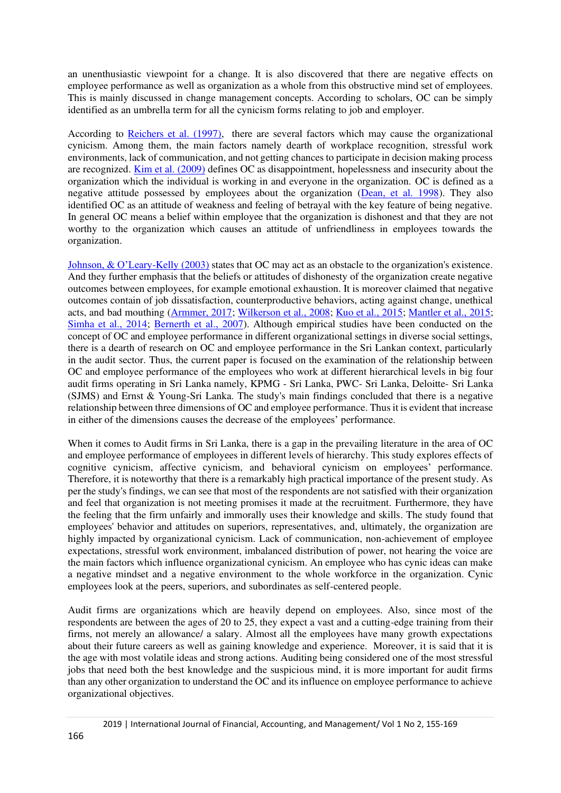an unenthusiastic viewpoint for a change. It is also discovered that there are negative effects on employee performance as well as organization as a whole from this obstructive mind set of employees. This is mainly discussed in change management concepts. According to scholars, OC can be simply identified as an umbrella term for all the cynicism forms relating to job and employer.

According to [Reichers et al. \(1997\),](#page-14-14) there are several factors which may cause the organizational cynicism. Among them, the main factors namely dearth of workplace recognition, stressful work environments, lack of communication, and not getting chances to participate in decision making process are recognized. [Kim et al. \(2009\)](#page-14-12) defines OC as disappointment, hopelessness and insecurity about the organization which the individual is working in and everyone in the organization. OC is defined as a negative attitude possessed by employees about the organization [\(Dean, et al. 1998\)](#page-13-2). They also identified OC as an attitude of weakness and feeling of betrayal with the key feature of being negative. In general OC means a belief within employee that the organization is dishonest and that they are not worthy to the organization which causes an attitude of unfriendliness in employees towards the organization.

[Johnson, & O'Leary](#page-14-2)-Kelly (2003) states that OC may act as an obstacle to the organization's existence. And they further emphasis that the beliefs or attitudes of dishonesty of the organization create negative outcomes between employees, for example emotional exhaustion. It is moreover claimed that negative outcomes contain of job dissatisfaction, counterproductive behaviors, acting against change, unethical acts, and bad mouthing [\(Armmer, 2017;](#page-13-3) [Wilkerson et al., 2008;](#page-14-5) [Kuo et al., 2015;](#page-14-0) [Mantler et al., 2015;](#page-14-3) [Simha et al., 2014;](#page-14-4) [Bernerth et al., 2007\)](#page-13-4). Although empirical studies have been conducted on the concept of OC and employee performance in different organizational settings in diverse social settings, there is a dearth of research on OC and employee performance in the Sri Lankan context, particularly in the audit sector. Thus, the current paper is focused on the examination of the relationship between OC and employee performance of the employees who work at different hierarchical levels in big four audit firms operating in Sri Lanka namely, KPMG - Sri Lanka, PWC- Sri Lanka, Deloitte- Sri Lanka (SJMS) and Ernst & Young-Sri Lanka. The study's main findings concluded that there is a negative relationship between three dimensions of OC and employee performance. Thus it is evident that increase in either of the dimensions causes the decrease of the employees' performance.

When it comes to Audit firms in Sri Lanka, there is a gap in the prevailing literature in the area of OC and employee performance of employees in different levels of hierarchy. This study explores effects of cognitive cynicism, affective cynicism, and behavioral cynicism on employees' performance. Therefore, it is noteworthy that there is a remarkably high practical importance of the present study. As per the study's findings, we can see that most of the respondents are not satisfied with their organization and feel that organization is not meeting promises it made at the recruitment. Furthermore, they have the feeling that the firm unfairly and immorally uses their knowledge and skills. The study found that employees' behavior and attitudes on superiors, representatives, and, ultimately, the organization are highly impacted by organizational cynicism. Lack of communication, non-achievement of employee expectations, stressful work environment, imbalanced distribution of power, not hearing the voice are the main factors which influence organizational cynicism. An employee who has cynic ideas can make a negative mindset and a negative environment to the whole workforce in the organization. Cynic employees look at the peers, superiors, and subordinates as self-centered people.

Audit firms are organizations which are heavily depend on employees. Also, since most of the respondents are between the ages of 20 to 25, they expect a vast and a cutting-edge training from their firms, not merely an allowance/ a salary. Almost all the employees have many growth expectations about their future careers as well as gaining knowledge and experience. Moreover, it is said that it is the age with most volatile ideas and strong actions. Auditing being considered one of the most stressful jobs that need both the best knowledge and the suspicious mind, it is more important for audit firms than any other organization to understand the OC and its influence on employee performance to achieve organizational objectives.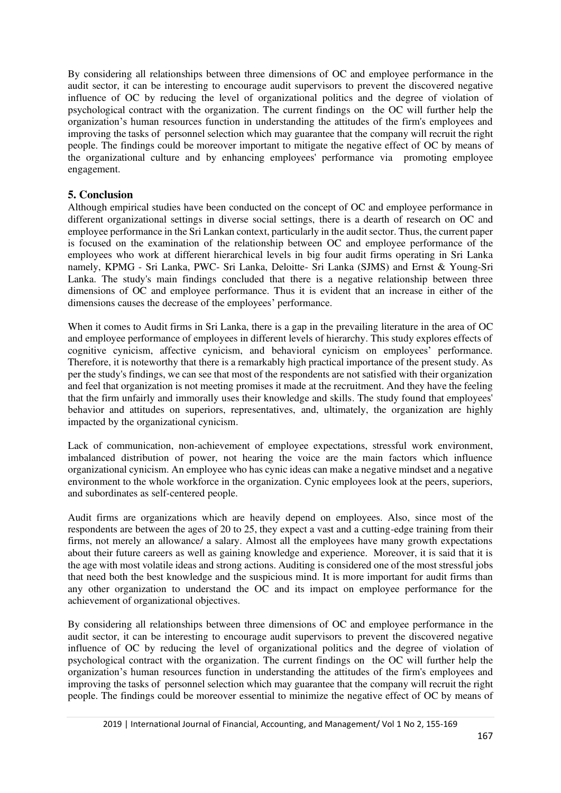By considering all relationships between three dimensions of OC and employee performance in the audit sector, it can be interesting to encourage audit supervisors to prevent the discovered negative influence of OC by reducing the level of organizational politics and the degree of violation of psychological contract with the organization. The current findings on the OC will further help the organization's human resources function in understanding the attitudes of the firm's employees and improving the tasks of personnel selection which may guarantee that the company will recruit the right people. The findings could be moreover important to mitigate the negative effect of OC by means of the organizational culture and by enhancing employees' performance via promoting employee engagement.

## **5. Conclusion**

Although empirical studies have been conducted on the concept of OC and employee performance in different organizational settings in diverse social settings, there is a dearth of research on OC and employee performance in the Sri Lankan context, particularly in the audit sector. Thus, the current paper is focused on the examination of the relationship between OC and employee performance of the employees who work at different hierarchical levels in big four audit firms operating in Sri Lanka namely, KPMG - Sri Lanka, PWC- Sri Lanka, Deloitte- Sri Lanka (SJMS) and Ernst & Young-Sri Lanka. The study's main findings concluded that there is a negative relationship between three dimensions of OC and employee performance. Thus it is evident that an increase in either of the dimensions causes the decrease of the employees' performance.

When it comes to Audit firms in Sri Lanka, there is a gap in the prevailing literature in the area of OC and employee performance of employees in different levels of hierarchy. This study explores effects of cognitive cynicism, affective cynicism, and behavioral cynicism on employees' performance. Therefore, it is noteworthy that there is a remarkably high practical importance of the present study. As per the study's findings, we can see that most of the respondents are not satisfied with their organization and feel that organization is not meeting promises it made at the recruitment. And they have the feeling that the firm unfairly and immorally uses their knowledge and skills. The study found that employees' behavior and attitudes on superiors, representatives, and, ultimately, the organization are highly impacted by the organizational cynicism.

Lack of communication, non-achievement of employee expectations, stressful work environment, imbalanced distribution of power, not hearing the voice are the main factors which influence organizational cynicism. An employee who has cynic ideas can make a negative mindset and a negative environment to the whole workforce in the organization. Cynic employees look at the peers, superiors, and subordinates as self-centered people.

Audit firms are organizations which are heavily depend on employees. Also, since most of the respondents are between the ages of 20 to 25, they expect a vast and a cutting-edge training from their firms, not merely an allowance/ a salary. Almost all the employees have many growth expectations about their future careers as well as gaining knowledge and experience. Moreover, it is said that it is the age with most volatile ideas and strong actions. Auditing is considered one of the most stressful jobs that need both the best knowledge and the suspicious mind. It is more important for audit firms than any other organization to understand the OC and its impact on employee performance for the achievement of organizational objectives.

By considering all relationships between three dimensions of OC and employee performance in the audit sector, it can be interesting to encourage audit supervisors to prevent the discovered negative influence of OC by reducing the level of organizational politics and the degree of violation of psychological contract with the organization. The current findings on the OC will further help the organization's human resources function in understanding the attitudes of the firm's employees and improving the tasks of personnel selection which may guarantee that the company will recruit the right people. The findings could be moreover essential to minimize the negative effect of OC by means of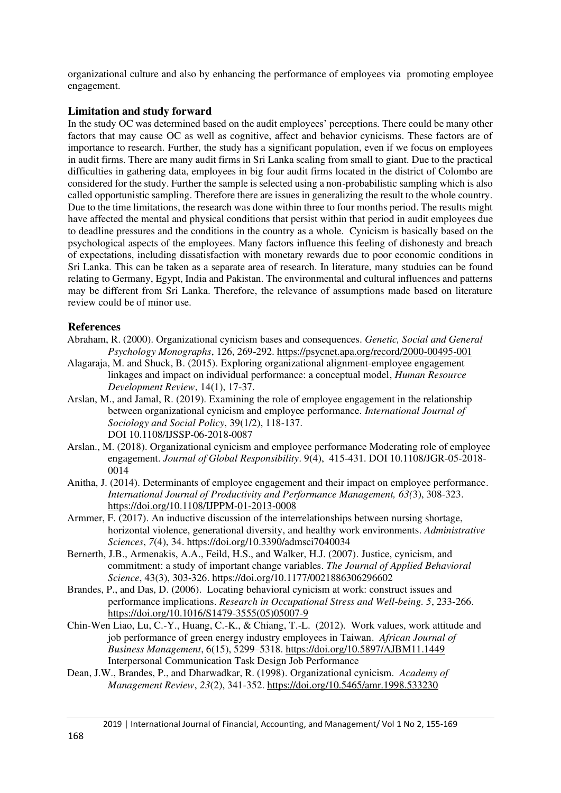organizational culture and also by enhancing the performance of employees via promoting employee engagement.

## **Limitation and study forward**

In the study OC was determined based on the audit employees' perceptions. There could be many other factors that may cause OC as well as cognitive, affect and behavior cynicisms. These factors are of importance to research. Further, the study has a significant population, even if we focus on employees in audit firms. There are many audit firms in Sri Lanka scaling from small to giant. Due to the practical difficulties in gathering data, employees in big four audit firms located in the district of Colombo are considered for the study. Further the sample is selected using a non-probabilistic sampling which is also called opportunistic sampling. Therefore there are issues in generalizing the result to the whole country. Due to the time limitations, the research was done within three to four months period. The results might have affected the mental and physical conditions that persist within that period in audit employees due to deadline pressures and the conditions in the country as a whole. Cynicism is basically based on the psychological aspects of the employees. Many factors influence this feeling of dishonesty and breach of expectations, including dissatisfaction with monetary rewards due to poor economic conditions in Sri Lanka. This can be taken as a separate area of research. In literature, many studuies can be found relating to Germany, Egypt, India and Pakistan. The environmental and cultural influences and patterns may be different from Sri Lanka. Therefore, the relevance of assumptions made based on literature review could be of minor use.

## **References**

- <span id="page-13-6"></span>Abraham, R. (2000). Organizational cynicism bases and consequences. *Genetic, Social and General Psychology Monographs*, 126, 269-292.<https://psycnet.apa.org/record/2000-00495-001>
- <span id="page-13-7"></span>Alagaraja, M. and Shuck, B. (2015). Exploring organizational alignment-employee engagement linkages and impact on individual performance: a conceptual model, *Human Resource Development Review*, 14(1), 17-37.
- <span id="page-13-0"></span>Arslan, M., and Jamal, R. (2019). Examining the role of employee engagement in the relationship between organizational cynicism and employee performance. *International Journal of Sociology and Social Policy*, 39(1/2), 118-137. DOI 10.1108/IJSSP-06-2018-0087
- <span id="page-13-1"></span>Arslan., M. (2018). Organizational cynicism and employee performance Moderating role of employee engagement. *Journal of Global Responsibility*. 9(4), 415-431. DOI 10.1108/JGR-05-2018- 0014
- <span id="page-13-5"></span>Anitha, J. (2014). Determinants of employee engagement and their impact on employee performance. *International Journal of Productivity and Performance Management, 63(*3), 308-323. <https://doi.org/10.1108/IJPPM-01-2013-0008>
- <span id="page-13-3"></span>Armmer, F. (2017). An inductive discussion of the interrelationships between nursing shortage, horizontal violence, generational diversity, and healthy work environments. *Administrative Sciences*, *7*(4), 34.<https://doi.org/10.3390/admsci7040034>
- <span id="page-13-4"></span>Bernerth, J.B., Armenakis, A.A., Feild, H.S., and Walker, H.J. (2007). Justice, cynicism, and commitment: a study of important change variables. *The Journal of Applied Behavioral Science*, 43(3), 303-326. [https://doi.org/10.1177/0021886306296602](https://doi.org/10.1177%2F0021886306296602)
- <span id="page-13-9"></span>Brandes, P., and Das, D. (2006). Locating behavioral cynicism at work: construct issues and performance implications. *Research in Occupational Stress and Well-being. 5*, 233-266. [https://doi.org/10.1016/S1479-3555\(05\)05007-9](https://doi.org/10.1016/S1479-3555(05)05007-9)
- <span id="page-13-8"></span>Chin-Wen Liao, Lu, C.-Y., Huang, C.-K., & Chiang, T.-L. (2012). Work values, work attitude and job performance of green energy industry employees in Taiwan. *African Journal of Business Management*, 6(15), 5299–5318. https://doi.org/10.5897/AJBM11.1449 Interpersonal Communication Task Design Job Performance
- <span id="page-13-2"></span>Dean, J.W., Brandes, P., and Dharwadkar, R. (1998). Organizational cynicism. *Academy of Management Review*, *23*(2), 341-352[. https://doi.org/10.5465/amr.1998.533230](https://doi.org/10.5465/amr.1998.533230)